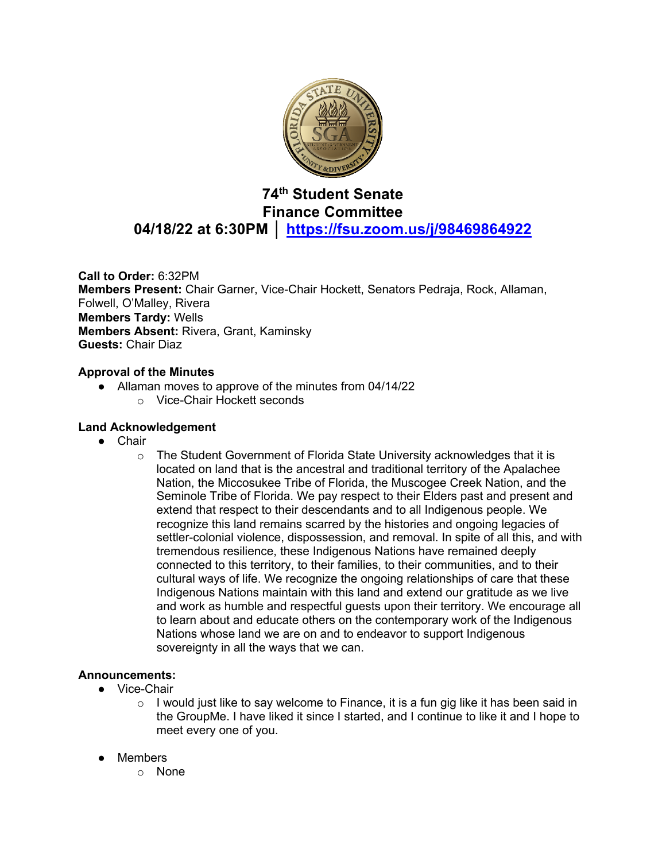

# **74th Student Senate Finance Committee 04/18/22 at 6:30PM │ https://fsu.zoom.us/j/98469864922**

**Call to Order:** 6:32PM **Members Present:** Chair Garner, Vice-Chair Hockett, Senators Pedraja, Rock, Allaman, Folwell, O'Malley, Rivera **Members Tardy:** Wells **Members Absent:** Rivera, Grant, Kaminsky **Guests:** Chair Diaz

### **Approval of the Minutes**

- Allaman moves to approve of the minutes from 04/14/22
	- o Vice-Chair Hockett seconds

### **Land Acknowledgement**

- Chair
	- $\circ$  The Student Government of Florida State University acknowledges that it is located on land that is the ancestral and traditional territory of the Apalachee Nation, the Miccosukee Tribe of Florida, the Muscogee Creek Nation, and the Seminole Tribe of Florida. We pay respect to their Elders past and present and extend that respect to their descendants and to all Indigenous people. We recognize this land remains scarred by the histories and ongoing legacies of settler-colonial violence, dispossession, and removal. In spite of all this, and with tremendous resilience, these Indigenous Nations have remained deeply connected to this territory, to their families, to their communities, and to their cultural ways of life. We recognize the ongoing relationships of care that these Indigenous Nations maintain with this land and extend our gratitude as we live and work as humble and respectful guests upon their territory. We encourage all to learn about and educate others on the contemporary work of the Indigenous Nations whose land we are on and to endeavor to support Indigenous sovereignty in all the ways that we can.

### **Announcements:**

- Vice-Chair
	- $\circ$  I would just like to say welcome to Finance, it is a fun gig like it has been said in the GroupMe. I have liked it since I started, and I continue to like it and I hope to meet every one of you.
- Members
	- o None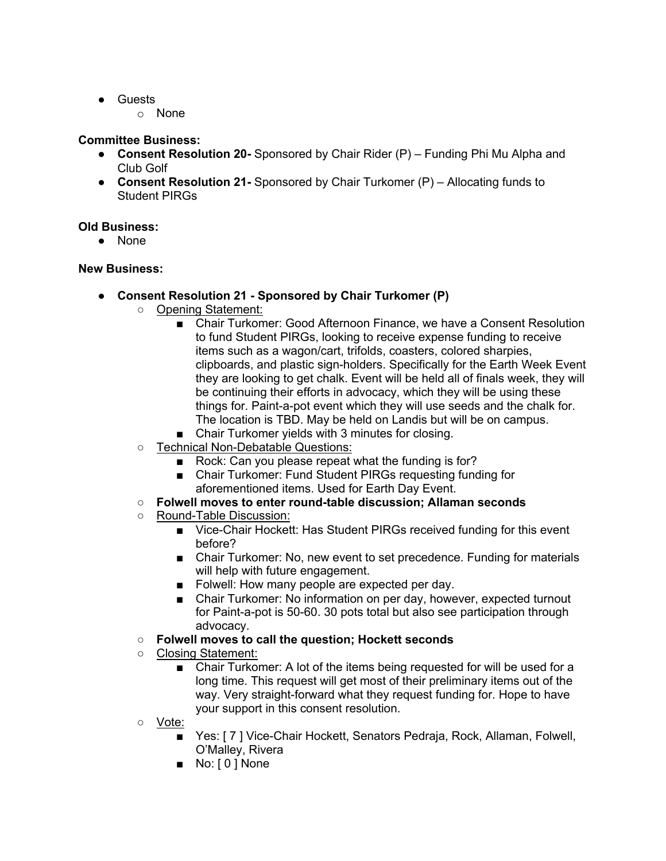- Guests
	- o None

## **Committee Business:**

- **Consent Resolution 20-** Sponsored by Chair Rider (P) Funding Phi Mu Alpha and Club Golf
- **Consent Resolution 21-** Sponsored by Chair Turkomer (P) Allocating funds to Student PIRGs

## **Old Business:**

● None

## **New Business:**

- **Consent Resolution 21 - Sponsored by Chair Turkomer (P)**
	- Opening Statement:
		- Chair Turkomer: Good Afternoon Finance, we have a Consent Resolution to fund Student PIRGs, looking to receive expense funding to receive items such as a wagon/cart, trifolds, coasters, colored sharpies, clipboards, and plastic sign-holders. Specifically for the Earth Week Event they are looking to get chalk. Event will be held all of finals week, they will be continuing their efforts in advocacy, which they will be using these things for. Paint-a-pot event which they will use seeds and the chalk for. The location is TBD. May be held on Landis but will be on campus.
		- Chair Turkomer yields with 3 minutes for closing.
	- Technical Non-Debatable Questions:
		- Rock: Can you please repeat what the funding is for?
		- Chair Turkomer: Fund Student PIRGs requesting funding for aforementioned items. Used for Earth Day Event.
	- **Folwell moves to enter round-table discussion; Allaman seconds**
	- Round-Table Discussion:
		- Vice-Chair Hockett: Has Student PIRGs received funding for this event before?
		- Chair Turkomer: No, new event to set precedence. Funding for materials will help with future engagement.
		- Folwell: How many people are expected per day.
		- Chair Turkomer: No information on per day, however, expected turnout for Paint-a-pot is 50-60. 30 pots total but also see participation through advocacy.
	- **Folwell moves to call the question; Hockett seconds**
	- Closing Statement:
		- Chair Turkomer: A lot of the items being requested for will be used for a long time. This request will get most of their preliminary items out of the way. Very straight-forward what they request funding for. Hope to have your support in this consent resolution.
	- Vote:
		- Yes: [7] Vice-Chair Hockett, Senators Pedraja, Rock, Allaman, Folwell, O'Malley, Rivera
		- No: [0] None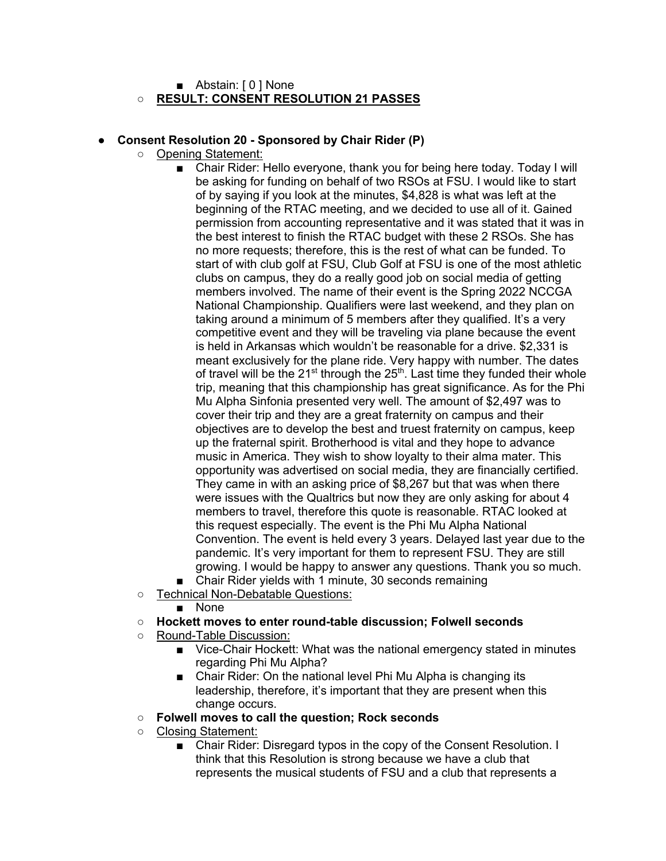■ Abstain: [ 0 ] None

## ○ **RESULT: CONSENT RESOLUTION 21 PASSES**

### ● **Consent Resolution 20 - Sponsored by Chair Rider (P)**

- Opening Statement:
	- Chair Rider: Hello everyone, thank you for being here today. Today I will be asking for funding on behalf of two RSOs at FSU. I would like to start of by saying if you look at the minutes, \$4,828 is what was left at the beginning of the RTAC meeting, and we decided to use all of it. Gained permission from accounting representative and it was stated that it was in the best interest to finish the RTAC budget with these 2 RSOs. She has no more requests; therefore, this is the rest of what can be funded. To start of with club golf at FSU, Club Golf at FSU is one of the most athletic clubs on campus, they do a really good job on social media of getting members involved. The name of their event is the Spring 2022 NCCGA National Championship. Qualifiers were last weekend, and they plan on taking around a minimum of 5 members after they qualified. It's a very competitive event and they will be traveling via plane because the event is held in Arkansas which wouldn't be reasonable for a drive. \$2,331 is meant exclusively for the plane ride. Very happy with number. The dates of travel will be the  $21^{st}$  through the  $25^{th}$ . Last time they funded their whole trip, meaning that this championship has great significance. As for the Phi Mu Alpha Sinfonia presented very well. The amount of \$2,497 was to cover their trip and they are a great fraternity on campus and their objectives are to develop the best and truest fraternity on campus, keep up the fraternal spirit. Brotherhood is vital and they hope to advance music in America. They wish to show loyalty to their alma mater. This opportunity was advertised on social media, they are financially certified. They came in with an asking price of \$8,267 but that was when there were issues with the Qualtrics but now they are only asking for about 4 members to travel, therefore this quote is reasonable. RTAC looked at this request especially. The event is the Phi Mu Alpha National Convention. The event is held every 3 years. Delayed last year due to the pandemic. It's very important for them to represent FSU. They are still growing. I would be happy to answer any questions. Thank you so much.
	- Chair Rider yields with 1 minute, 30 seconds remaining
	- Technical Non-Debatable Questions:
		- None
	- **Hockett moves to enter round-table discussion; Folwell seconds**
	- Round-Table Discussion:
		- Vice-Chair Hockett: What was the national emergency stated in minutes regarding Phi Mu Alpha?
		- Chair Rider: On the national level Phi Mu Alpha is changing its leadership, therefore, it's important that they are present when this change occurs.
	- **Folwell moves to call the question; Rock seconds**
	- Closing Statement:
		- Chair Rider: Disregard typos in the copy of the Consent Resolution. I think that this Resolution is strong because we have a club that represents the musical students of FSU and a club that represents a